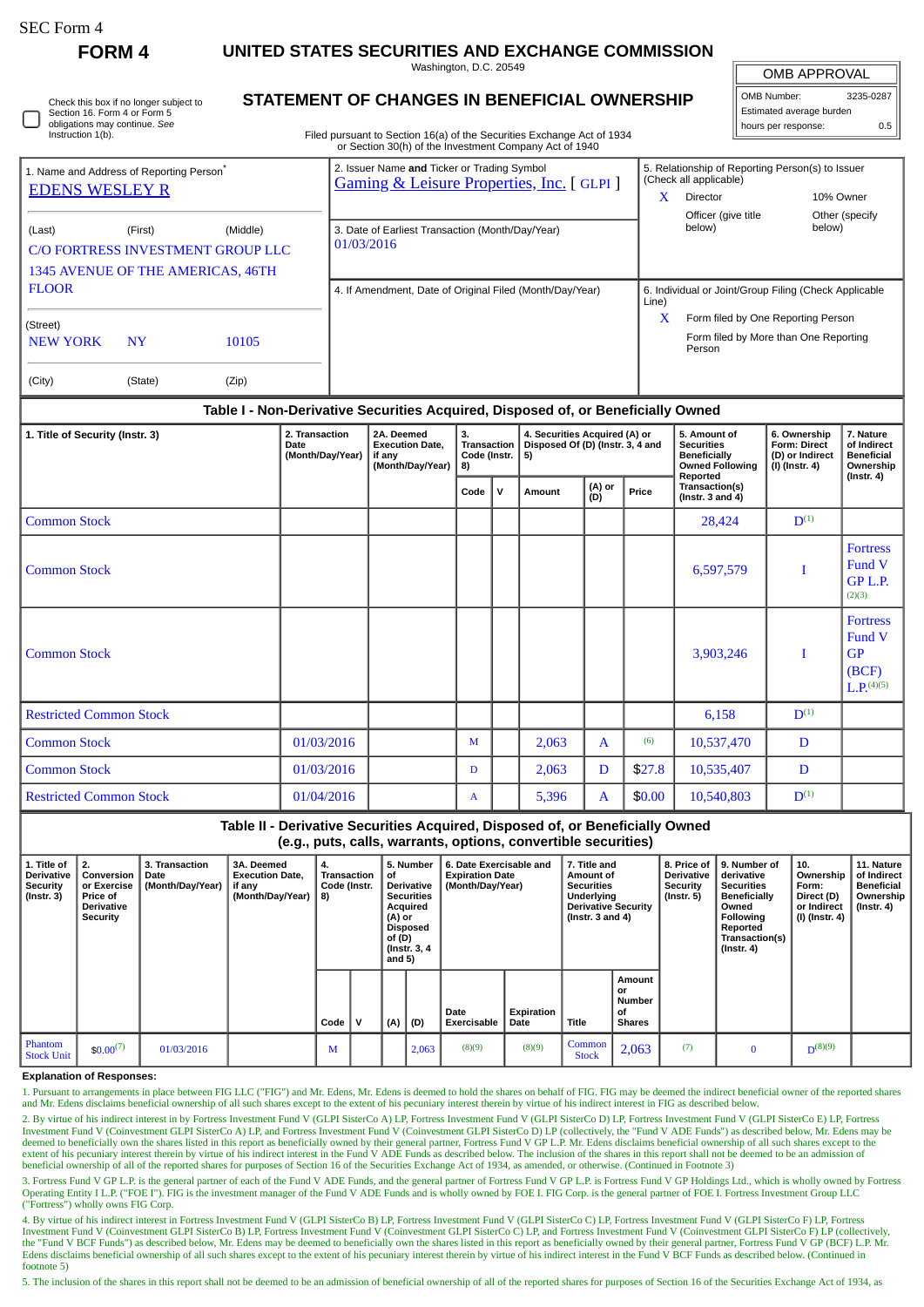| SEC Form 4 |  |
|------------|--|
|------------|--|

П

**FORM 4 UNITED STATES SECURITIES AND EXCHANGE COMMISSION**

Washington, D.C. 20549

| Check this box if no longer subject to |
|----------------------------------------|
| Section 16. Form 4 or Form 5           |
| obligations may continue. See          |
| Instruction 1(b).                      |

# **STATEMENT OF CHANGES IN BENEFICIAL OWNERSHIP**

Filed pursuant to Section 16(a) of the Securities Exchange Act of 1934 or Section 30(h) of the Investment Company Act of 1940

| OMB APPROVAL             |     |  |  |  |  |  |  |  |  |
|--------------------------|-----|--|--|--|--|--|--|--|--|
| OMB Number:<br>3235-0287 |     |  |  |  |  |  |  |  |  |
| Estimated average burden |     |  |  |  |  |  |  |  |  |
| hours per response:      | 0.5 |  |  |  |  |  |  |  |  |

|                                                      |           |                                                                                    | of Section Softly of the investment Company Act of 1940                                            |                                                                            |  |  |  |  |  |
|------------------------------------------------------|-----------|------------------------------------------------------------------------------------|----------------------------------------------------------------------------------------------------|----------------------------------------------------------------------------|--|--|--|--|--|
| 1. Name and Address of Reporting Person <sup>®</sup> |           |                                                                                    | 2. Issuer Name and Ticker or Trading Symbol<br><b>Gaming &amp; Leisure Properties, Inc.</b> [GLPI] | 5. Relationship of Reporting Person(s) to Issuer<br>(Check all applicable) |  |  |  |  |  |
| <b>EDENS WESLEY R</b>                                |           |                                                                                    |                                                                                                    | 10% Owner<br>x<br>Director                                                 |  |  |  |  |  |
|                                                      |           |                                                                                    |                                                                                                    | Officer (give title<br>Other (specify)                                     |  |  |  |  |  |
| (Last)                                               | (First)   | (Middle)<br>C/O FORTRESS INVESTMENT GROUP LLC<br>1345 AVENUE OF THE AMERICAS, 46TH | 3. Date of Earliest Transaction (Month/Day/Year)<br>01/03/2016                                     | below)<br>below)                                                           |  |  |  |  |  |
| <b>FLOOR</b>                                         |           |                                                                                    | 4. If Amendment, Date of Original Filed (Month/Day/Year)                                           | 6. Individual or Joint/Group Filing (Check Applicable<br>Line)             |  |  |  |  |  |
| (Street)                                             |           |                                                                                    |                                                                                                    | X<br>Form filed by One Reporting Person                                    |  |  |  |  |  |
| <b>NEW YORK</b>                                      | <b>NY</b> | 10105                                                                              |                                                                                                    | Form filed by More than One Reporting<br>Person                            |  |  |  |  |  |
| (City)                                               | (State)   | (Zip)                                                                              |                                                                                                    |                                                                            |  |  |  |  |  |

### **Table I - Non-Derivative Securities Acquired, Disposed of, or Beneficially Owned**

| 1. Title of Security (Instr. 3) | 2. Transaction<br>Date<br>(Month/Day/Year) | 2A. Deemed<br><b>Execution Date,</b><br>if any<br>(Month/Day/Year) | 3.<br>Transaction<br>Code (Instr.<br>8) |   | 4. Securities Acquired (A) or<br>Disposed Of (D) (Instr. 3, 4 and<br>5) |               |        | 5. Amount of<br><b>Securities</b><br><b>Beneficially</b><br><b>Owned Following</b><br>Reported | 6. Ownership<br><b>Form: Direct</b><br>(D) or Indirect<br>$(I)$ (Instr. 4) | 7. Nature<br>of Indirect<br><b>Beneficial</b><br>Ownership<br>$($ Instr. 4 $)$ |
|---------------------------------|--------------------------------------------|--------------------------------------------------------------------|-----------------------------------------|---|-------------------------------------------------------------------------|---------------|--------|------------------------------------------------------------------------------------------------|----------------------------------------------------------------------------|--------------------------------------------------------------------------------|
|                                 |                                            |                                                                    | Code                                    | v | Amount                                                                  | (A) or<br>(D) |        | Transaction(s)<br>(Instr. $3$ and $4$ )                                                        |                                                                            |                                                                                |
| <b>Common Stock</b>             |                                            |                                                                    |                                         |   |                                                                         |               |        | 28,424                                                                                         | $D^{(1)}$                                                                  |                                                                                |
| <b>Common Stock</b>             |                                            |                                                                    |                                         |   |                                                                         |               |        | 6,597,579                                                                                      | T                                                                          | <b>Fortress</b><br>Fund V<br>GP L.P.<br>(2)(3)                                 |
| <b>Common Stock</b>             |                                            |                                                                    |                                         |   |                                                                         |               |        | 3,903,246                                                                                      | I                                                                          | <b>Fortress</b><br>Fund V<br>GP<br>(BCF)<br>$L.P.^{(4)(5)}$                    |
| <b>Restricted Common Stock</b>  |                                            |                                                                    |                                         |   |                                                                         |               |        | 6,158                                                                                          | $\mathbf{D}^{(1)}$                                                         |                                                                                |
| <b>Common Stock</b>             | 01/03/2016                                 |                                                                    | M                                       |   | 2,063                                                                   | $\mathbf{A}$  | (6)    | 10,537,470                                                                                     | D                                                                          |                                                                                |
| <b>Common Stock</b>             | 01/03/2016                                 |                                                                    | D                                       |   | 2,063                                                                   | D             | \$27.8 | 10,535,407                                                                                     | D                                                                          |                                                                                |
| <b>Restricted Common Stock</b>  | 01/04/2016                                 |                                                                    | $\mathbf{A}$                            |   | 5,396                                                                   | $\mathbf{A}$  | \$0.00 | 10,540,803                                                                                     | $D^{(1)}$                                                                  |                                                                                |

| Table II - Derivative Securities Acquired, Disposed of, or Beneficially Owned<br>(e.g., puts, calls, warrants, options, convertible securities) |                                                                                     |                                            |                                                                    |                                                  |   |                                                                                                                             |       |                                                                       |                    |                                                                                                                            |                                                      |                                                                         |                                                                                                                                                 |                                                                          |                                                                           |
|-------------------------------------------------------------------------------------------------------------------------------------------------|-------------------------------------------------------------------------------------|--------------------------------------------|--------------------------------------------------------------------|--------------------------------------------------|---|-----------------------------------------------------------------------------------------------------------------------------|-------|-----------------------------------------------------------------------|--------------------|----------------------------------------------------------------------------------------------------------------------------|------------------------------------------------------|-------------------------------------------------------------------------|-------------------------------------------------------------------------------------------------------------------------------------------------|--------------------------------------------------------------------------|---------------------------------------------------------------------------|
| 1. Title of<br>Derivative<br>Security<br>$($ Instr. 3 $)$                                                                                       | 2.<br>Conversion<br>or Exercise<br><b>Price of</b><br><b>Derivative</b><br>Security | 3. Transaction<br>Date<br>(Month/Day/Year) | 3A. Deemed<br><b>Execution Date,</b><br>if any<br>(Month/Day/Year) | 4.<br><b>Transaction</b><br>Code (Instr.<br>  8) |   | 5. Number<br>οf<br>Derivative<br><b>Securities</b><br>Acquired<br>(A) or<br>Disposed<br>of (D)<br>(Instr. 3, 4)<br>and $5)$ |       | 6. Date Exercisable and<br><b>Expiration Date</b><br>(Month/Day/Year) |                    | 7. Title and<br><b>Amount of</b><br><b>Securities</b><br>Underlying<br><b>Derivative Security</b><br>(Instr. $3$ and $4$ ) |                                                      | 8. Price of<br><b>Derivative</b><br><b>Security</b><br>$($ Instr. 5 $)$ | 9. Number of<br>derivative<br><b>Securities</b><br><b>Beneficially</b><br>Owned<br><b>Following</b><br>Reported<br>Transaction(s)<br>(Instr. 4) | 10.<br>Ownership<br>Form:<br>Direct (D)<br>or Indirect<br>(I) (Instr. 4) | 11. Nature<br>of Indirect<br><b>Beneficial</b><br>Ownership<br>(Instr. 4) |
|                                                                                                                                                 |                                                                                     |                                            |                                                                    | Code                                             | v | (A)                                                                                                                         | (D)   | Date<br><b>Exercisable</b>                                            | Expiration<br>Date | Title                                                                                                                      | Amount<br>or<br><b>Number</b><br>οf<br><b>Shares</b> |                                                                         |                                                                                                                                                 |                                                                          |                                                                           |
| Phantom<br><b>Stock Unit</b>                                                                                                                    | $$0.00^{(7)}$                                                                       | 01/03/2016                                 |                                                                    | M                                                |   |                                                                                                                             | 2,063 | (8)(9)                                                                | (8)(9)             | Common<br><b>Stock</b>                                                                                                     | 2,063                                                | (7)                                                                     | $\Omega$                                                                                                                                        | $D^{(8)(9)}$                                                             |                                                                           |

#### **Explanation of Responses:**

1. Pursuant to arrangements in place between FIG LLC ("FIG") and Mr. Edens, Mr. Edens is deemed to hold the shares on behalf of FIG. FIG may be deemed the indirect beneficial owner of the reported shares and Mr. Edens disclaims beneficial ownership of all such shares except to the extent of his pecuniary interest therein by virtue of his indirect interest in FIG as described below.

2. By virtue of his indirect interest in by Fortress Investment Fund V (GLPI SisterCo A) LP, Fortress Investment Fund V (GLPI SisterCo D) LP, Fortress Investment Fund V (GLPI SisterCo E) LP, Fortress Investment Fund V (Coinvestment GLPI SisterCo A) LP, and Fortress Investment Fund V (Coinvestment GLPI SisterCo D) LP (collectively, the "Fund V ADE Funds") as described below, Mr. Edens may be deemed to beneficially own t beneficial ownership of all of the reported shares for purposes of Section 16 of the Securities Exchange Act of 1934, as amended, or otherwise. (Continued in Footnote 3)

3. Fortress Fund V GP L.P. is the general partner of each of the Fund V ADE Funds, and the general partner of Fortress Fund V GP L.P. is Fortress Fund V GP Holdings Ltd., which is wholly owned by Fortress Operating Entity I L.P. ("FOE I"). FIG is the investment manager of the Fund V ADE Funds and is wholly owned by FOE I. FIG Corp. is the general partner of FOE I. Fortress Investment Group LLC ("Fortress") wholly owns FIG Corp.

4. By virtue of his indirect interest in Fortress Investment Fund V (GLPI SisterCo B) LP, Fortress Investment Fund V (GLPI SisterCo C) LP, Fortress Investment Fund V (GLPI SisterCo F) LP, Fortress Investment Fund V (GLPI S Investment Fund V (Coinvestment GLPI SisterCo B) LP, Fortress Investment Fund V (Coinvestment GLPI SisterCo C) LP, and Fortress Investment Fund V (Coinvestment GLPI SisterCo F) LP (collectively,<br>the "Fund V BCF Funds") as Edens disclaims beneficial ownership of all such shares except to the extent of his pecuniary interest therein by virtue of his indirect interest in the Fund V BCF Funds as described below. (Continued in footnote 5)

5. The inclusion of the shares in this report shall not be deemed to be an admission of beneficial ownership of all of the reported shares for purposes of Section 16 of the Securities Exchange Act of 1934, as